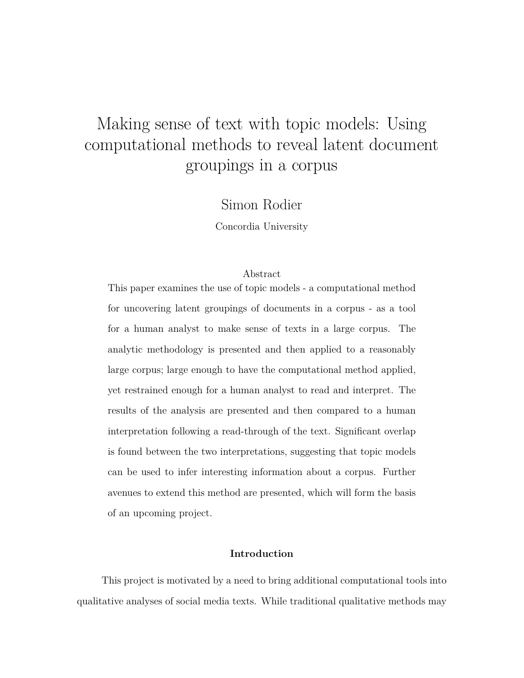# Making sense of text with topic models: Using computational methods to reveal latent document groupings in a corpus

Simon Rodier

Concordia University

## Abstract

This paper examines the use of topic models - a computational method for uncovering latent groupings of documents in a corpus - as a tool for a human analyst to make sense of texts in a large corpus. The analytic methodology is presented and then applied to a reasonably large corpus; large enough to have the computational method applied, yet restrained enough for a human analyst to read and interpret. The results of the analysis are presented and then compared to a human interpretation following a read-through of the text. Significant overlap is found between the two interpretations, suggesting that topic models can be used to infer interesting information about a corpus. Further avenues to extend this method are presented, which will form the basis of an upcoming project.

#### **Introduction**

This project is motivated by a need to bring additional computational tools into qualitative analyses of social media texts. While traditional qualitative methods may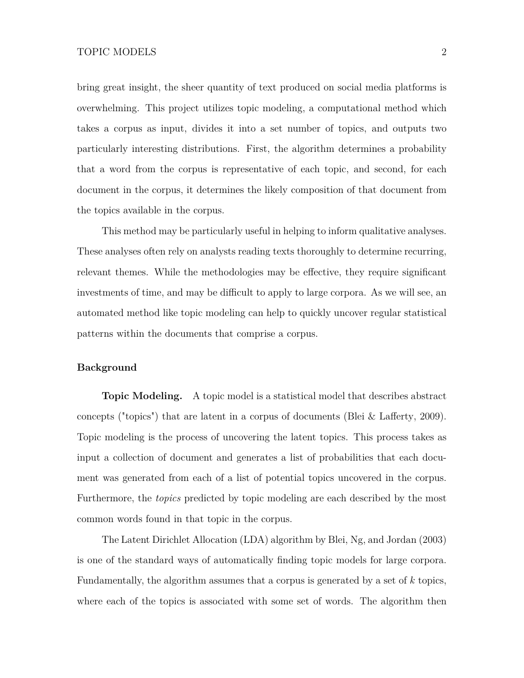bring great insight, the sheer quantity of text produced on social media platforms is overwhelming. This project utilizes topic modeling, a computational method which takes a corpus as input, divides it into a set number of topics, and outputs two particularly interesting distributions. First, the algorithm determines a probability that a word from the corpus is representative of each topic, and second, for each document in the corpus, it determines the likely composition of that document from the topics available in the corpus.

This method may be particularly useful in helping to inform qualitative analyses. These analyses often rely on analysts reading texts thoroughly to determine recurring, relevant themes. While the methodologies may be effective, they require significant investments of time, and may be difficult to apply to large corpora. As we will see, an automated method like topic modeling can help to quickly uncover regular statistical patterns within the documents that comprise a corpus.

## **Background**

**Topic Modeling.** A topic model is a statistical model that describes abstract concepts ("topics") that are latent in a corpus of documents [\(Blei & Lafferty, 2009\)](#page-34-0). Topic modeling is the process of uncovering the latent topics. This process takes as input a collection of document and generates a list of probabilities that each document was generated from each of a list of potential topics uncovered in the corpus. Furthermore, the *topics* predicted by topic modeling are each described by the most common words found in that topic in the corpus.

The Latent Dirichlet Allocation (LDA) algorithm by [Blei, Ng, and Jordan](#page-34-1) [\(2003\)](#page-34-1) is one of the standard ways of automatically finding topic models for large corpora. Fundamentally, the algorithm assumes that a corpus is generated by a set of *k* topics, where each of the topics is associated with some set of words. The algorithm then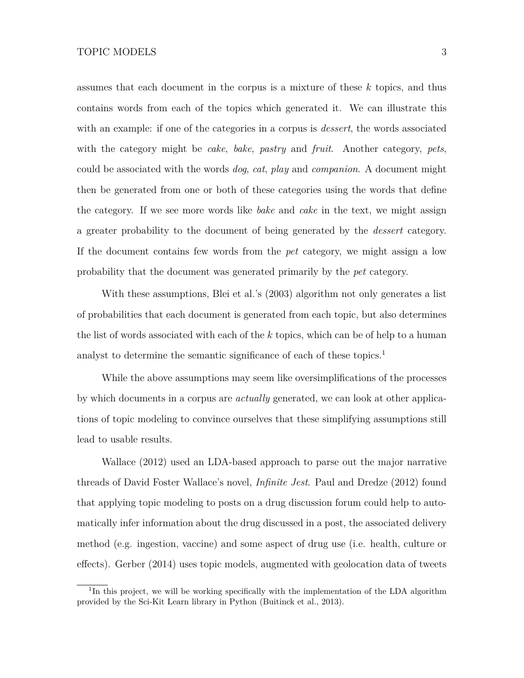assumes that each document in the corpus is a mixture of these *k* topics, and thus contains words from each of the topics which generated it. We can illustrate this with an example: if one of the categories in a corpus is *dessert*, the words associated with the category might be *cake*, *bake*, *pastry* and *fruit*. Another category, *pets*, could be associated with the words *dog*, *cat*, *play* and *companion*. A document might then be generated from one or both of these categories using the words that define the category. If we see more words like *bake* and *cake* in the text, we might assign a greater probability to the document of being generated by the *dessert* category. If the document contains few words from the *pet* category, we might assign a low probability that the document was generated primarily by the *pet* category.

With these assumptions, [Blei et al.'](#page-34-1)s [\(2003\)](#page-34-1) algorithm not only generates a list of probabilities that each document is generated from each topic, but also determines the list of words associated with each of the *k* topics, which can be of help to a human analyst to determine the semantic significance of each of these topics.<sup>[1](#page-2-0)</sup>

While the above assumptions may seem like oversimplifications of the processes by which documents in a corpus are *actually* generated, we can look at other applications of topic modeling to convince ourselves that these simplifying assumptions still lead to usable results.

[Wallace](#page-35-0) [\(2012\)](#page-35-0) used an LDA-based approach to parse out the major narrative threads of David Foster Wallace's novel, *Infinite Jest*. [Paul and Dredze](#page-34-2) [\(2012\)](#page-34-2) found that applying topic modeling to posts on a drug discussion forum could help to automatically infer information about the drug discussed in a post, the associated delivery method (e.g. ingestion, vaccine) and some aspect of drug use (i.e. health, culture or effects). [Gerber](#page-34-3) [\(2014\)](#page-34-3) uses topic models, augmented with geolocation data of tweets

<span id="page-2-0"></span><sup>&</sup>lt;sup>1</sup>In this project, we will be working specifically with the implementation of the LDA algorithm provided by the Sci-Kit Learn library in Python [\(Buitinck et al., 2013\)](#page-34-4).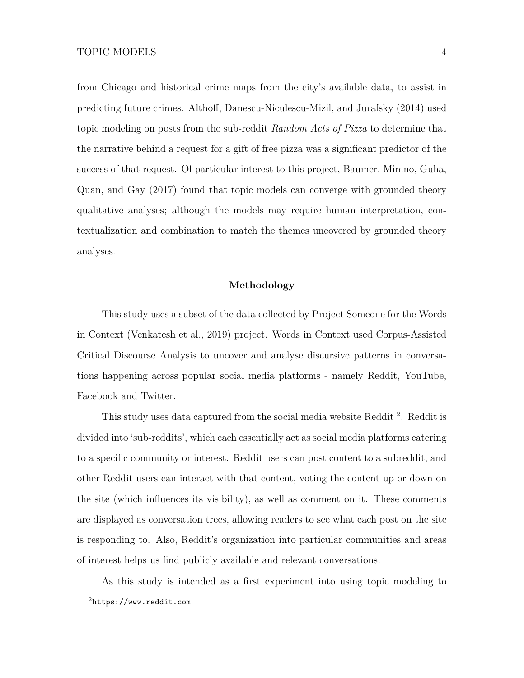from Chicago and historical crime maps from the city's available data, to assist in predicting future crimes. [Althoff, Danescu-Niculescu-Mizil, and Jurafsky](#page-34-5) [\(2014\)](#page-34-5) used topic modeling on posts from the sub-reddit *Random Acts of Pizza* to determine that the narrative behind a request for a gift of free pizza was a significant predictor of the success of that request. Of particular interest to this project, [Baumer, Mimno, Guha,](#page-34-6) [Quan, and Gay](#page-34-6) [\(2017\)](#page-34-6) found that topic models can converge with grounded theory qualitative analyses; although the models may require human interpretation, contextualization and combination to match the themes uncovered by grounded theory analyses.

### **Methodology**

This study uses a subset of the data collected by Project Someone for the Words in Context [\(Venkatesh et al., 2019\)](#page-35-1) project. Words in Context used Corpus-Assisted Critical Discourse Analysis to uncover and analyse discursive patterns in conversations happening across popular social media platforms - namely Reddit, YouTube, Facebook and Twitter.

This study uses data captured from the social media website Reddit<sup>[2](#page-3-0)</sup>. Reddit is divided into 'sub-reddits', which each essentially act as social media platforms catering to a specific community or interest. Reddit users can post content to a subreddit, and other Reddit users can interact with that content, voting the content up or down on the site (which influences its visibility), as well as comment on it. These comments are displayed as conversation trees, allowing readers to see what each post on the site is responding to. Also, Reddit's organization into particular communities and areas of interest helps us find publicly available and relevant conversations.

<span id="page-3-0"></span>As this study is intended as a first experiment into using topic modeling to  $^{2}$ <https://www.reddit.com>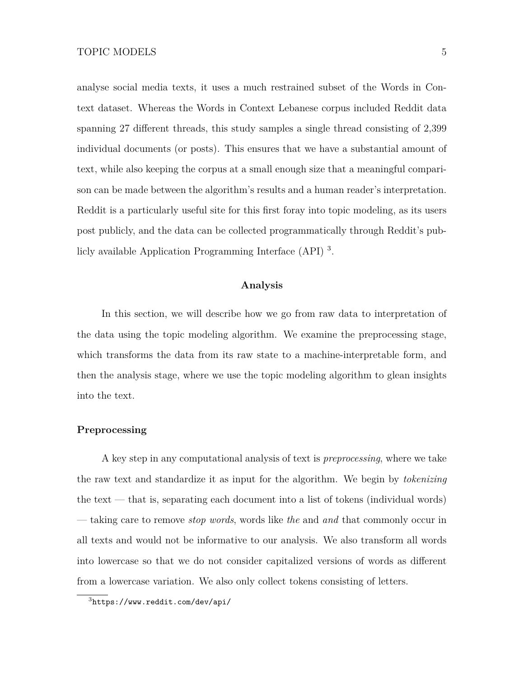analyse social media texts, it uses a much restrained subset of the Words in Context dataset. Whereas the Words in Context Lebanese corpus included Reddit data spanning 27 different threads, this study samples a single thread consisting of 2,399 individual documents (or posts). This ensures that we have a substantial amount of text, while also keeping the corpus at a small enough size that a meaningful comparison can be made between the algorithm's results and a human reader's interpretation. Reddit is a particularly useful site for this first foray into topic modeling, as its users post publicly, and the data can be collected programmatically through Reddit's publicly available Application Programming Interface (API) [3](#page-4-0) .

## **Analysis**

In this section, we will describe how we go from raw data to interpretation of the data using the topic modeling algorithm. We examine the preprocessing stage, which transforms the data from its raw state to a machine-interpretable form, and then the analysis stage, where we use the topic modeling algorithm to glean insights into the text.

#### **Preprocessing**

A key step in any computational analysis of text is *preprocessing*, where we take the raw text and standardize it as input for the algorithm. We begin by *tokenizing* the text — that is, separating each document into a list of tokens (individual words) — taking care to remove *stop words*, words like *the* and *and* that commonly occur in all texts and would not be informative to our analysis. We also transform all words into lowercase so that we do not consider capitalized versions of words as different from a lowercase variation. We also only collect tokens consisting of letters.

<span id="page-4-0"></span> $3$ <https://www.reddit.com/dev/api/>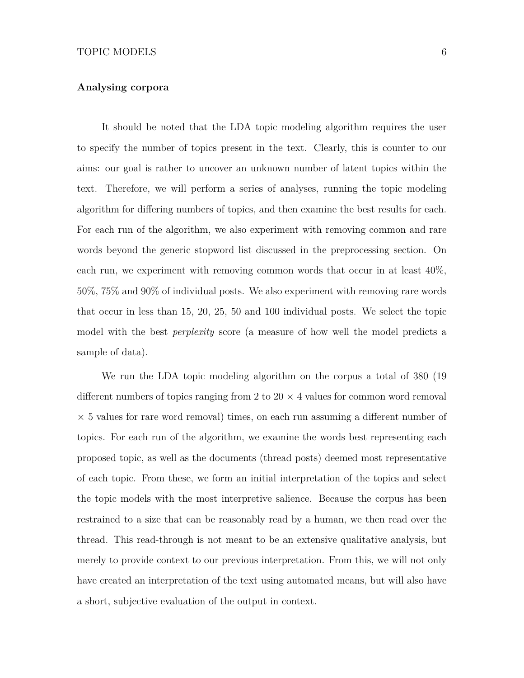#### **Analysing corpora**

It should be noted that the LDA topic modeling algorithm requires the user to specify the number of topics present in the text. Clearly, this is counter to our aims: our goal is rather to uncover an unknown number of latent topics within the text. Therefore, we will perform a series of analyses, running the topic modeling algorithm for differing numbers of topics, and then examine the best results for each. For each run of the algorithm, we also experiment with removing common and rare words beyond the generic stopword list discussed in the preprocessing section. On each run, we experiment with removing common words that occur in at least 40%, 50%, 75% and 90% of individual posts. We also experiment with removing rare words that occur in less than 15, 20, 25, 50 and 100 individual posts. We select the topic model with the best *perplexity* score (a measure of how well the model predicts a sample of data).

We run the LDA topic modeling algorithm on the corpus a total of 380 (19 different numbers of topics ranging from 2 to  $20 \times 4$  values for common word removal  $\times$  5 values for rare word removal) times, on each run assuming a different number of topics. For each run of the algorithm, we examine the words best representing each proposed topic, as well as the documents (thread posts) deemed most representative of each topic. From these, we form an initial interpretation of the topics and select the topic models with the most interpretive salience. Because the corpus has been restrained to a size that can be reasonably read by a human, we then read over the thread. This read-through is not meant to be an extensive qualitative analysis, but merely to provide context to our previous interpretation. From this, we will not only have created an interpretation of the text using automated means, but will also have a short, subjective evaluation of the output in context.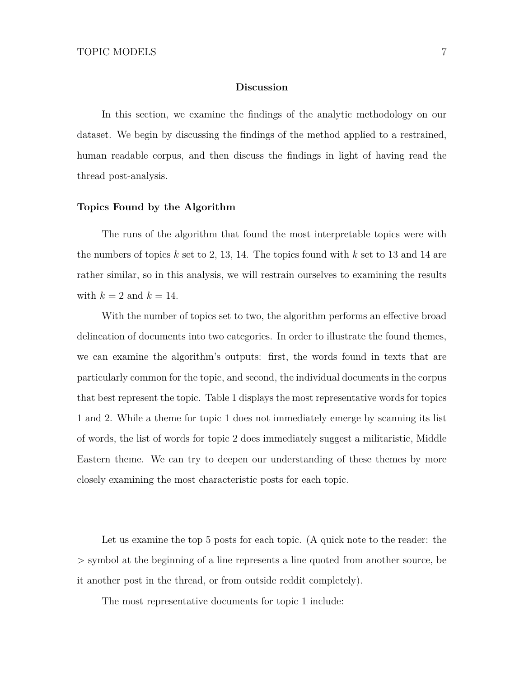#### **Discussion**

In this section, we examine the findings of the analytic methodology on our dataset. We begin by discussing the findings of the method applied to a restrained, human readable corpus, and then discuss the findings in light of having read the thread post-analysis.

#### **Topics Found by the Algorithm**

The runs of the algorithm that found the most interpretable topics were with the numbers of topics *k* set to 2, 13, 14. The topics found with *k* set to 13 and 14 are rather similar, so in this analysis, we will restrain ourselves to examining the results with  $k = 2$  and  $k = 14$ .

With the number of topics set to two, the algorithm performs an effective broad delineation of documents into two categories. In order to illustrate the found themes, we can examine the algorithm's outputs: first, the words found in texts that are particularly common for the topic, and second, the individual documents in the corpus that best represent the topic. Table [1](#page-7-0) displays the most representative words for topics 1 and 2. While a theme for topic 1 does not immediately emerge by scanning its list of words, the list of words for topic 2 does immediately suggest a militaristic, Middle Eastern theme. We can try to deepen our understanding of these themes by more closely examining the most characteristic posts for each topic.

Let us examine the top 5 posts for each topic. (A quick note to the reader: the > symbol at the beginning of a line represents a line quoted from another source, be it another post in the thread, or from outside reddit completely).

The most representative documents for topic 1 include: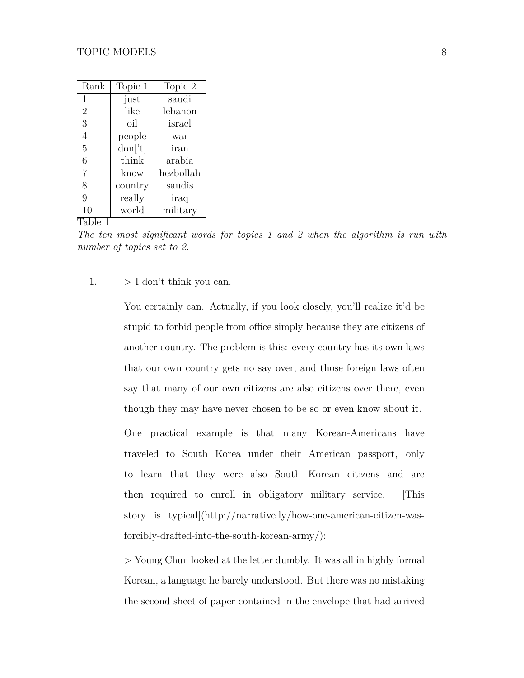<span id="page-7-0"></span>

| Rank           | Topic 1         | Topic 2   |
|----------------|-----------------|-----------|
| 1              | just            | saudi     |
| $\overline{2}$ | like            | lebanon   |
| 3              | oil             | israel    |
| 4              | people          | war       |
| 5              | $\text{don}[t]$ | iran      |
| 6              | think           | arabia    |
| 7              | know            | hezbollah |
| 8              | country         | saudis    |
| 9              | really          | iraq      |
| 10<br>1        | world           | military  |

Table 1

*The ten most significant words for topics 1 and 2 when the algorithm is run with number of topics set to 2.*

# 1.  $> I$  don't think you can.

You certainly can. Actually, if you look closely, you'll realize it'd be stupid to forbid people from office simply because they are citizens of another country. The problem is this: every country has its own laws that our own country gets no say over, and those foreign laws often say that many of our own citizens are also citizens over there, even though they may have never chosen to be so or even know about it.

One practical example is that many Korean-Americans have traveled to South Korea under their American passport, only to learn that they were also South Korean citizens and are then required to enroll in obligatory military service. [This story is typical](http://narrative.ly/how-one-american-citizen-wasforcibly-drafted-into-the-south-korean-army/):

> Young Chun looked at the letter dumbly. It was all in highly formal Korean, a language he barely understood. But there was no mistaking the second sheet of paper contained in the envelope that had arrived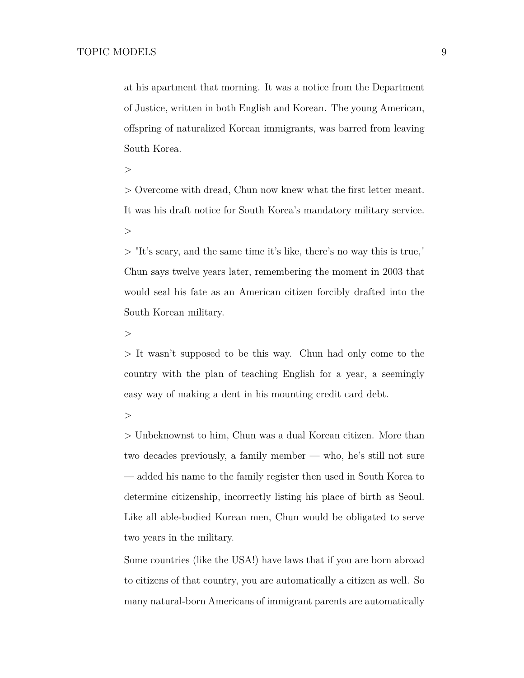at his apartment that morning. It was a notice from the Department of Justice, written in both English and Korean. The young American, offspring of naturalized Korean immigrants, was barred from leaving South Korea.

 $\,>$ 

> Overcome with dread, Chun now knew what the first letter meant. It was his draft notice for South Korea's mandatory military service.  $>$ 

 $>$  "It's scary, and the same time it's like, there's no way this is true," Chun says twelve years later, remembering the moment in 2003 that would seal his fate as an American citizen forcibly drafted into the South Korean military.

 $>$ 

> It wasn't supposed to be this way. Chun had only come to the country with the plan of teaching English for a year, a seemingly easy way of making a dent in his mounting credit card debt.

 $>$ 

> Unbeknownst to him, Chun was a dual Korean citizen. More than two decades previously, a family member — who, he's still not sure — added his name to the family register then used in South Korea to determine citizenship, incorrectly listing his place of birth as Seoul. Like all able-bodied Korean men, Chun would be obligated to serve two years in the military.

Some countries (like the USA!) have laws that if you are born abroad to citizens of that country, you are automatically a citizen as well. So many natural-born Americans of immigrant parents are automatically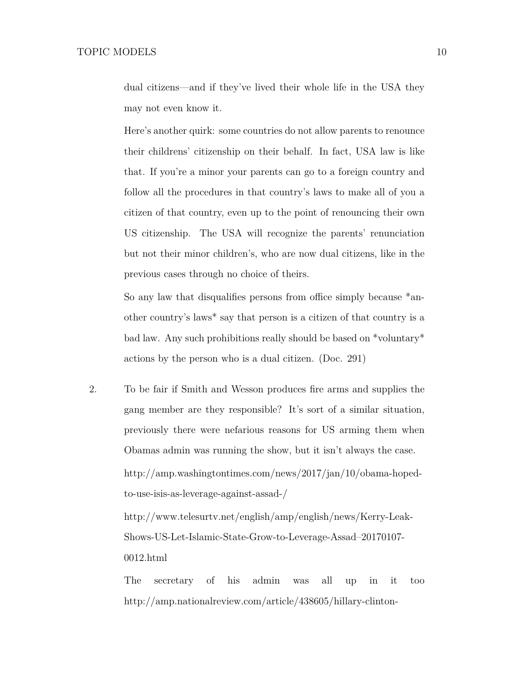dual citizens—and if they've lived their whole life in the USA they may not even know it.

Here's another quirk: some countries do not allow parents to renounce their childrens' citizenship on their behalf. In fact, USA law is like that. If you're a minor your parents can go to a foreign country and follow all the procedures in that country's laws to make all of you a citizen of that country, even up to the point of renouncing their own US citizenship. The USA will recognize the parents' renunciation but not their minor children's, who are now dual citizens, like in the previous cases through no choice of theirs.

So any law that disqualifies persons from office simply because \*another country's laws\* say that person is a citizen of that country is a bad law. Any such prohibitions really should be based on \*voluntary\* actions by the person who is a dual citizen. (Doc. 291)

2. To be fair if Smith and Wesson produces fire arms and supplies the gang member are they responsible? It's sort of a similar situation, previously there were nefarious reasons for US arming them when Obamas admin was running the show, but it isn't always the case. http://amp.washingtontimes.com/news/2017/jan/10/obama-hopedto-use-isis-as-leverage-against-assad-/

> http://www.telesurtv.net/english/amp/english/news/Kerry-Leak-Shows-US-Let-Islamic-State-Grow-to-Leverage-Assad–20170107- 0012.html

The secretary of his admin was all up in it too http://amp.nationalreview.com/article/438605/hillary-clinton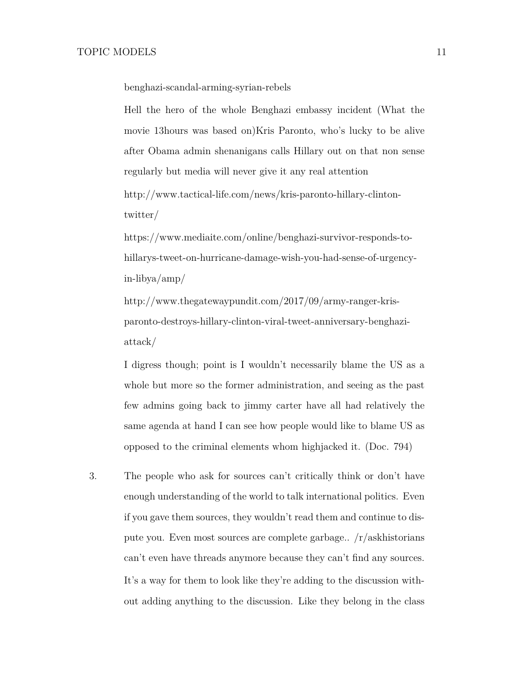benghazi-scandal-arming-syrian-rebels

Hell the hero of the whole Benghazi embassy incident (What the movie 13hours was based on)Kris Paronto, who's lucky to be alive after Obama admin shenanigans calls Hillary out on that non sense regularly but media will never give it any real attention

http://www.tactical-life.com/news/kris-paronto-hillary-clintontwitter/

https://www.mediaite.com/online/benghazi-survivor-responds-tohillarys-tweet-on-hurricane-damage-wish-you-had-sense-of-urgencyin-libya/amp/

http://www.thegatewaypundit.com/2017/09/army-ranger-krisparonto-destroys-hillary-clinton-viral-tweet-anniversary-benghaziattack/

I digress though; point is I wouldn't necessarily blame the US as a whole but more so the former administration, and seeing as the past few admins going back to jimmy carter have all had relatively the same agenda at hand I can see how people would like to blame US as opposed to the criminal elements whom highjacked it. (Doc. 794)

3. The people who ask for sources can't critically think or don't have enough understanding of the world to talk international politics. Even if you gave them sources, they wouldn't read them and continue to dispute you. Even most sources are complete garbage.. /r/askhistorians can't even have threads anymore because they can't find any sources. It's a way for them to look like they're adding to the discussion without adding anything to the discussion. Like they belong in the class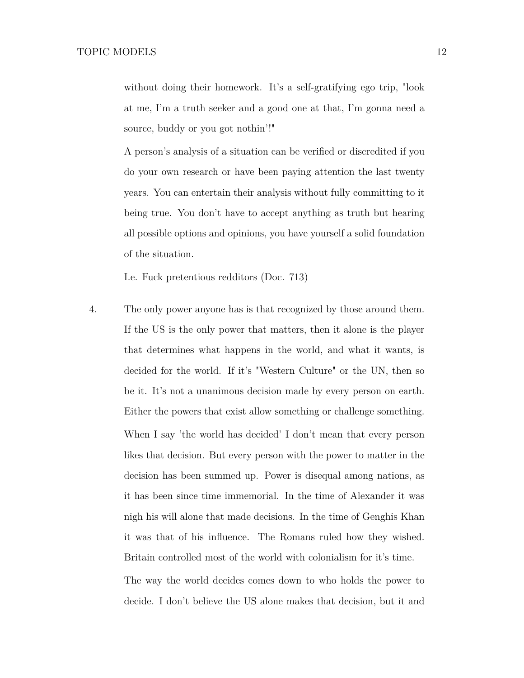without doing their homework. It's a self-gratifying ego trip, "look" at me, I'm a truth seeker and a good one at that, I'm gonna need a source, buddy or you got nothin'!"

A person's analysis of a situation can be verified or discredited if you do your own research or have been paying attention the last twenty years. You can entertain their analysis without fully committing to it being true. You don't have to accept anything as truth but hearing all possible options and opinions, you have yourself a solid foundation of the situation.

I.e. Fuck pretentious redditors (Doc. 713)

4. The only power anyone has is that recognized by those around them. If the US is the only power that matters, then it alone is the player that determines what happens in the world, and what it wants, is decided for the world. If it's "Western Culture" or the UN, then so be it. It's not a unanimous decision made by every person on earth. Either the powers that exist allow something or challenge something. When I say 'the world has decided' I don't mean that every person likes that decision. But every person with the power to matter in the decision has been summed up. Power is disequal among nations, as it has been since time immemorial. In the time of Alexander it was nigh his will alone that made decisions. In the time of Genghis Khan it was that of his influence. The Romans ruled how they wished. Britain controlled most of the world with colonialism for it's time.

> The way the world decides comes down to who holds the power to decide. I don't believe the US alone makes that decision, but it and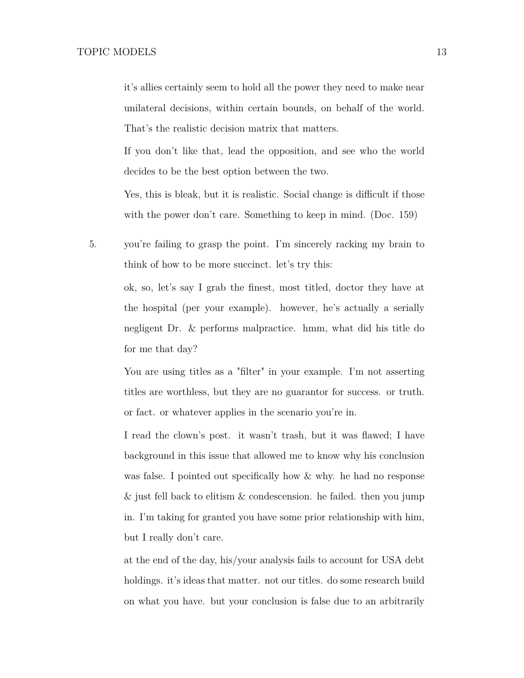it's allies certainly seem to hold all the power they need to make near unilateral decisions, within certain bounds, on behalf of the world. That's the realistic decision matrix that matters.

If you don't like that, lead the opposition, and see who the world decides to be the best option between the two.

Yes, this is bleak, but it is realistic. Social change is difficult if those with the power don't care. Something to keep in mind. (Doc. 159)

5. you're failing to grasp the point. I'm sincerely racking my brain to think of how to be more succinct. let's try this:

> ok, so, let's say I grab the finest, most titled, doctor they have at the hospital (per your example). however, he's actually a serially negligent Dr. & performs malpractice. hmm, what did his title do for me that day?

> You are using titles as a "filter" in your example. I'm not asserting titles are worthless, but they are no guarantor for success. or truth. or fact. or whatever applies in the scenario you're in.

> I read the clown's post. it wasn't trash, but it was flawed; I have background in this issue that allowed me to know why his conclusion was false. I pointed out specifically how & why. he had no response & just fell back to elitism & condescension. he failed. then you jump in. I'm taking for granted you have some prior relationship with him, but I really don't care.

> at the end of the day, his/your analysis fails to account for USA debt holdings. it's ideas that matter. not our titles. do some research build on what you have. but your conclusion is false due to an arbitrarily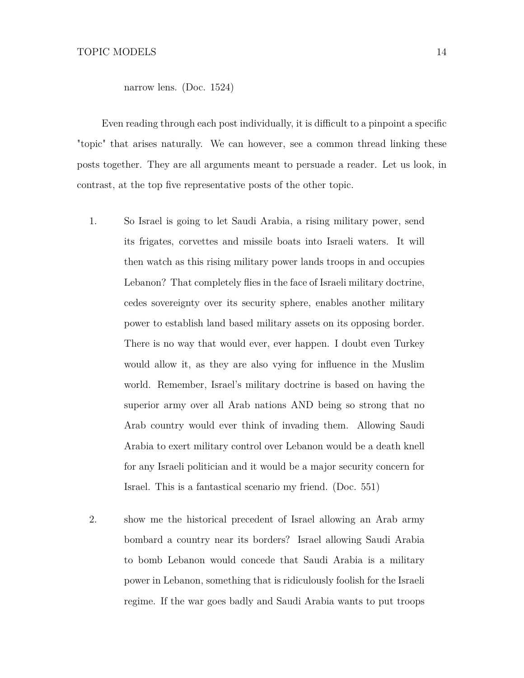narrow lens. (Doc. 1524)

Even reading through each post individually, it is difficult to a pinpoint a specific "topic" that arises naturally. We can however, see a common thread linking these posts together. They are all arguments meant to persuade a reader. Let us look, in contrast, at the top five representative posts of the other topic.

- 1. So Israel is going to let Saudi Arabia, a rising military power, send its frigates, corvettes and missile boats into Israeli waters. It will then watch as this rising military power lands troops in and occupies Lebanon? That completely flies in the face of Israeli military doctrine, cedes sovereignty over its security sphere, enables another military power to establish land based military assets on its opposing border. There is no way that would ever, ever happen. I doubt even Turkey would allow it, as they are also vying for influence in the Muslim world. Remember, Israel's military doctrine is based on having the superior army over all Arab nations AND being so strong that no Arab country would ever think of invading them. Allowing Saudi Arabia to exert military control over Lebanon would be a death knell for any Israeli politician and it would be a major security concern for Israel. This is a fantastical scenario my friend. (Doc. 551)
- 2. show me the historical precedent of Israel allowing an Arab army bombard a country near its borders? Israel allowing Saudi Arabia to bomb Lebanon would concede that Saudi Arabia is a military power in Lebanon, something that is ridiculously foolish for the Israeli regime. If the war goes badly and Saudi Arabia wants to put troops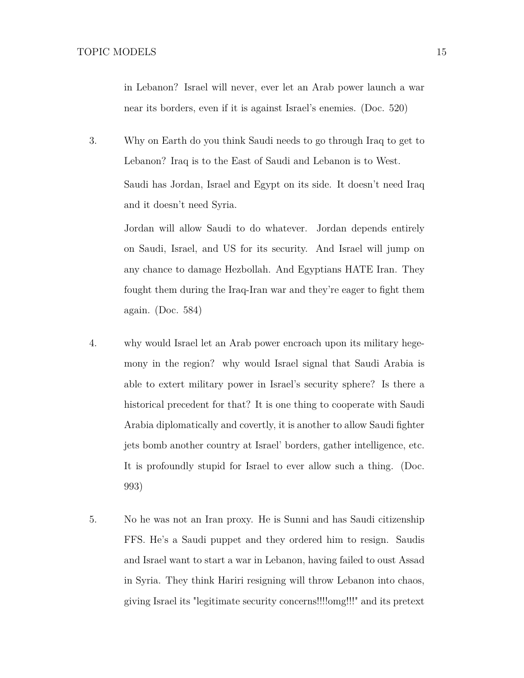in Lebanon? Israel will never, ever let an Arab power launch a war near its borders, even if it is against Israel's enemies. (Doc. 520)

3. Why on Earth do you think Saudi needs to go through Iraq to get to Lebanon? Iraq is to the East of Saudi and Lebanon is to West. Saudi has Jordan, Israel and Egypt on its side. It doesn't need Iraq and it doesn't need Syria.

> Jordan will allow Saudi to do whatever. Jordan depends entirely on Saudi, Israel, and US for its security. And Israel will jump on any chance to damage Hezbollah. And Egyptians HATE Iran. They fought them during the Iraq-Iran war and they're eager to fight them again. (Doc. 584)

- 4. why would Israel let an Arab power encroach upon its military hegemony in the region? why would Israel signal that Saudi Arabia is able to extert military power in Israel's security sphere? Is there a historical precedent for that? It is one thing to cooperate with Saudi Arabia diplomatically and covertly, it is another to allow Saudi fighter jets bomb another country at Israel' borders, gather intelligence, etc. It is profoundly stupid for Israel to ever allow such a thing. (Doc. 993)
- 5. No he was not an Iran proxy. He is Sunni and has Saudi citizenship FFS. He's a Saudi puppet and they ordered him to resign. Saudis and Israel want to start a war in Lebanon, having failed to oust Assad in Syria. They think Hariri resigning will throw Lebanon into chaos, giving Israel its "legitimate security concerns!!!!omg!!!" and its pretext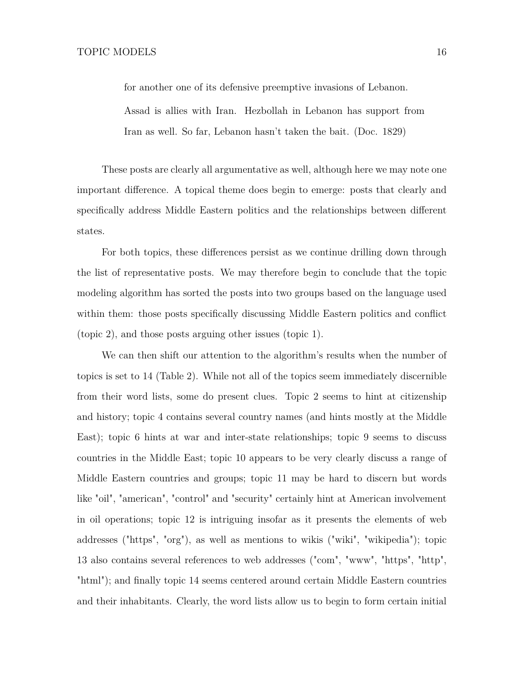for another one of its defensive preemptive invasions of Lebanon.

Assad is allies with Iran. Hezbollah in Lebanon has support from Iran as well. So far, Lebanon hasn't taken the bait. (Doc. 1829)

These posts are clearly all argumentative as well, although here we may note one important difference. A topical theme does begin to emerge: posts that clearly and specifically address Middle Eastern politics and the relationships between different states.

For both topics, these differences persist as we continue drilling down through the list of representative posts. We may therefore begin to conclude that the topic modeling algorithm has sorted the posts into two groups based on the language used within them: those posts specifically discussing Middle Eastern politics and conflict (topic 2), and those posts arguing other issues (topic 1).

We can then shift our attention to the algorithm's results when the number of topics is set to 14 (Table [2\)](#page-17-0). While not all of the topics seem immediately discernible from their word lists, some do present clues. Topic 2 seems to hint at citizenship and history; topic 4 contains several country names (and hints mostly at the Middle East); topic 6 hints at war and inter-state relationships; topic 9 seems to discuss countries in the Middle East; topic 10 appears to be very clearly discuss a range of Middle Eastern countries and groups; topic 11 may be hard to discern but words like "oil", "american", "control" and "security" certainly hint at American involvement in oil operations; topic 12 is intriguing insofar as it presents the elements of web addresses ("https", "org"), as well as mentions to wikis ("wiki", "wikipedia"); topic 13 also contains several references to web addresses ("com", "www", "https", "http", "html"); and finally topic 14 seems centered around certain Middle Eastern countries and their inhabitants. Clearly, the word lists allow us to begin to form certain initial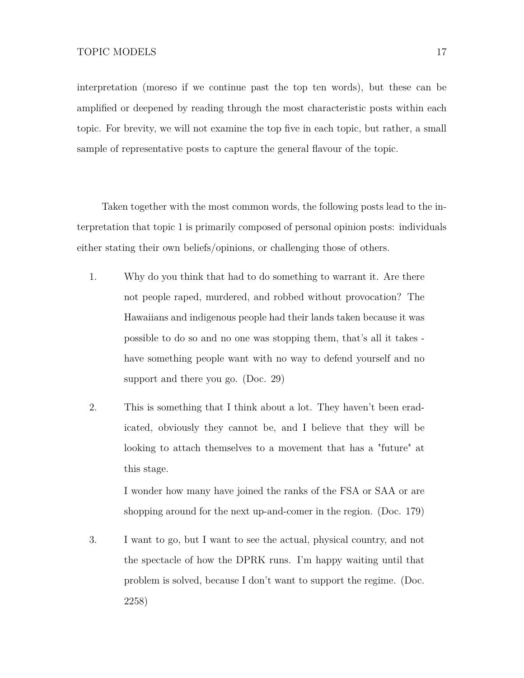interpretation (moreso if we continue past the top ten words), but these can be amplified or deepened by reading through the most characteristic posts within each topic. For brevity, we will not examine the top five in each topic, but rather, a small sample of representative posts to capture the general flavour of the topic.

Taken together with the most common words, the following posts lead to the interpretation that topic 1 is primarily composed of personal opinion posts: individuals either stating their own beliefs/opinions, or challenging those of others.

- 1. Why do you think that had to do something to warrant it. Are there not people raped, murdered, and robbed without provocation? The Hawaiians and indigenous people had their lands taken because it was possible to do so and no one was stopping them, that's all it takes have something people want with no way to defend yourself and no support and there you go. (Doc. 29)
- 2. This is something that I think about a lot. They haven't been eradicated, obviously they cannot be, and I believe that they will be looking to attach themselves to a movement that has a "future" at this stage.

I wonder how many have joined the ranks of the FSA or SAA or are shopping around for the next up-and-comer in the region. (Doc. 179)

3. I want to go, but I want to see the actual, physical country, and not the spectacle of how the DPRK runs. I'm happy waiting until that problem is solved, because I don't want to support the regime. (Doc. 2258)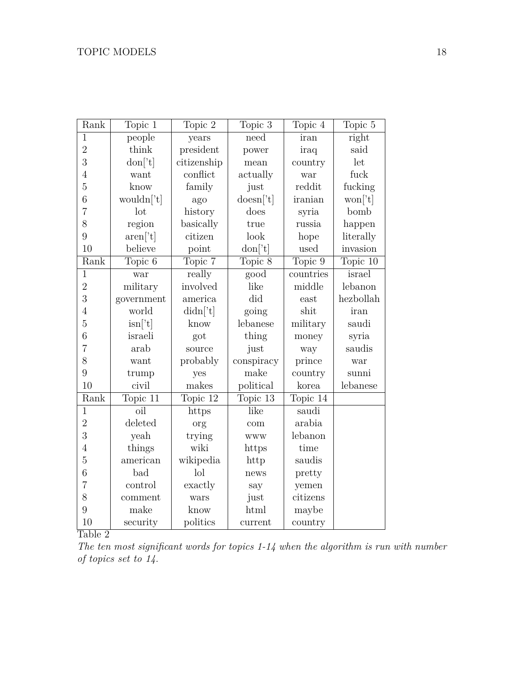<span id="page-17-0"></span>

| Rank           | Topic 1                  | Topic 2                              | Topic $3$                | Topic 4                        | Topic 5   |
|----------------|--------------------------|--------------------------------------|--------------------------|--------------------------------|-----------|
| $\mathbf{1}$   | people                   | years                                | need                     | iran                           | right     |
| $\overline{2}$ | think                    | president                            | power                    | iraq                           | said      |
| 3              | $\text{don}['t]$         | citizenship                          | mean                     | country                        | let       |
| $\overline{4}$ | want                     | conflict                             | actually                 | war                            | fuck      |
| $\overline{5}$ | know                     | family                               | just                     | reddit                         | fucking   |
| 6              | wouldn['t]               | ago                                  | doesn['t]                | iranian                        | won['t]   |
| $\overline{7}$ | lot                      | history                              | does                     | syria                          | bomb      |
| 8              | region                   | basically                            | true                     | russia                         | happen    |
| 9              | $\text{aren}[\text{'}t]$ | citizen                              | look                     | hope                           | literally |
| 10             | believe                  | point                                | $\text{don}[\text{t}]$   | used                           | invasion  |
| Rank           | Topic 6                  | Topic 7                              | Topic $8$                | $\overline{\mathrm{Topic}}\;9$ | Topic 10  |
| $\overline{1}$ | war                      | really                               | $\overline{\text{good}}$ | countries                      | israel    |
| $\overline{2}$ | military                 | involved                             | like                     | middle                         | lebanon   |
| 3              | government               | america                              | did                      | east                           | hezbollah |
| $\overline{4}$ | world                    | $\text{d} \text{id} \textbf{n}$ ['t] | going                    | shit                           | iran      |
| $\overline{5}$ | $\sin[$ 't]              | know                                 | lebanese                 | military                       | saudi     |
| 6              | israeli                  | got                                  | thing                    | money                          | syria     |
| $\overline{7}$ | arab                     | source                               | just                     | way                            | saudis    |
| 8              | want                     | probably                             | conspiracy               | prince                         | war       |
| 9              | trump                    | yes                                  | make                     | country                        | sunni     |
| 10             | civil                    | makes                                | political                | korea                          | lebanese  |
| Rank           | Topic 11                 | Topic 12                             | Topic 13                 | Topic 14                       |           |
| $\mathbf{1}$   | $\overline{\text{oil}}$  | https                                | like                     | saudi                          |           |
| $\overline{2}$ | deleted                  | org                                  | com                      | arabia                         |           |
| 3              | yeah                     | trying                               | <b>WWW</b>               | lebanon                        |           |
| $\overline{4}$ | things                   | wiki                                 | https                    | time                           |           |
| $\overline{5}$ | american                 | wikipedia                            | http                     | saudis                         |           |
| $\overline{6}$ | bad                      | $\log$                               | news                     | pretty                         |           |
| $\overline{7}$ | control                  | exactly                              | say                      | yemen                          |           |
| 8              | comment                  | wars                                 | just                     | citizens                       |           |
| 9              | make                     | know                                 | html                     | maybe                          |           |
| 10             | security                 | politics                             | current                  | country                        |           |

Table 2<sup>1</sup>

*The ten most significant words for topics 1-14 when the algorithm is run with number of topics set to 14.*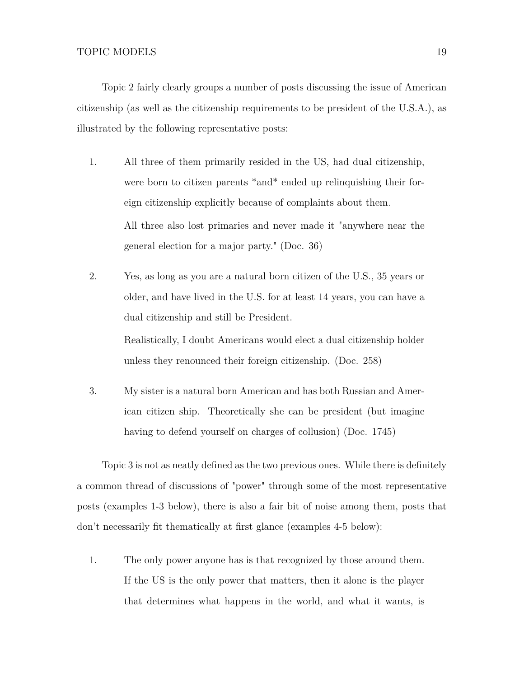Topic 2 fairly clearly groups a number of posts discussing the issue of American citizenship (as well as the citizenship requirements to be president of the U.S.A.), as illustrated by the following representative posts:

- 1. All three of them primarily resided in the US, had dual citizenship, were born to citizen parents \*and\* ended up relinquishing their foreign citizenship explicitly because of complaints about them. All three also lost primaries and never made it "anywhere near the general election for a major party." (Doc. 36)
- 2. Yes, as long as you are a natural born citizen of the U.S., 35 years or older, and have lived in the U.S. for at least 14 years, you can have a dual citizenship and still be President. Realistically, I doubt Americans would elect a dual citizenship holder

unless they renounced their foreign citizenship. (Doc. 258)

3. My sister is a natural born American and has both Russian and American citizen ship. Theoretically she can be president (but imagine having to defend yourself on charges of collusion) (Doc. 1745)

Topic 3 is not as neatly defined as the two previous ones. While there is definitely a common thread of discussions of "power" through some of the most representative posts (examples 1-3 below), there is also a fair bit of noise among them, posts that don't necessarily fit thematically at first glance (examples 4-5 below):

1. The only power anyone has is that recognized by those around them. If the US is the only power that matters, then it alone is the player that determines what happens in the world, and what it wants, is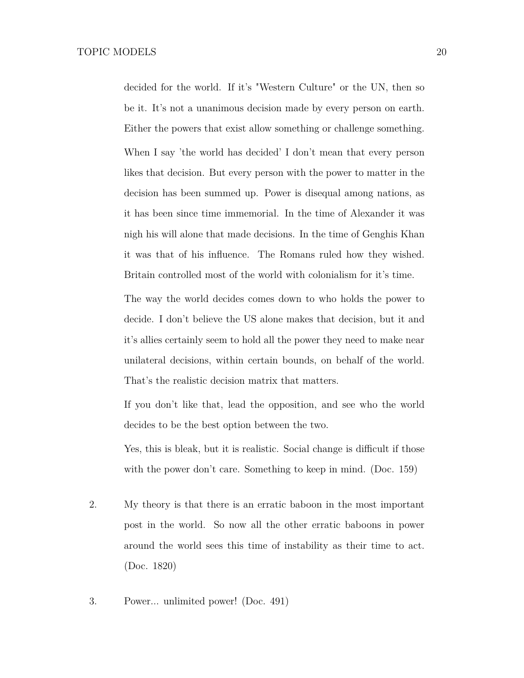decided for the world. If it's "Western Culture" or the UN, then so be it. It's not a unanimous decision made by every person on earth. Either the powers that exist allow something or challenge something. When I say 'the world has decided' I don't mean that every person likes that decision. But every person with the power to matter in the decision has been summed up. Power is disequal among nations, as it has been since time immemorial. In the time of Alexander it was nigh his will alone that made decisions. In the time of Genghis Khan it was that of his influence. The Romans ruled how they wished. Britain controlled most of the world with colonialism for it's time.

The way the world decides comes down to who holds the power to decide. I don't believe the US alone makes that decision, but it and it's allies certainly seem to hold all the power they need to make near unilateral decisions, within certain bounds, on behalf of the world. That's the realistic decision matrix that matters.

If you don't like that, lead the opposition, and see who the world decides to be the best option between the two.

Yes, this is bleak, but it is realistic. Social change is difficult if those with the power don't care. Something to keep in mind. (Doc. 159)

- 2. My theory is that there is an erratic baboon in the most important post in the world. So now all the other erratic baboons in power around the world sees this time of instability as their time to act. (Doc. 1820)
- 3. Power... unlimited power! (Doc. 491)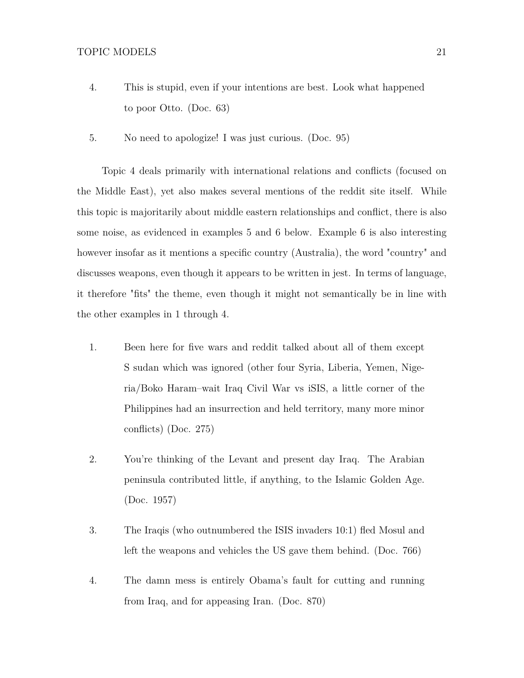- 4. This is stupid, even if your intentions are best. Look what happened to poor Otto. (Doc. 63)
- 5. No need to apologize! I was just curious. (Doc. 95)

Topic 4 deals primarily with international relations and conflicts (focused on the Middle East), yet also makes several mentions of the reddit site itself. While this topic is majoritarily about middle eastern relationships and conflict, there is also some noise, as evidenced in examples 5 and 6 below. Example 6 is also interesting however insofar as it mentions a specific country (Australia), the word "country" and discusses weapons, even though it appears to be written in jest. In terms of language, it therefore "fits" the theme, even though it might not semantically be in line with the other examples in 1 through 4.

- 1. Been here for five wars and reddit talked about all of them except S sudan which was ignored (other four Syria, Liberia, Yemen, Nigeria/Boko Haram–wait Iraq Civil War vs iSIS, a little corner of the Philippines had an insurrection and held territory, many more minor conflicts) (Doc. 275)
- 2. You're thinking of the Levant and present day Iraq. The Arabian peninsula contributed little, if anything, to the Islamic Golden Age. (Doc. 1957)
- 3. The Iraqis (who outnumbered the ISIS invaders 10:1) fled Mosul and left the weapons and vehicles the US gave them behind. (Doc. 766)
- 4. The damn mess is entirely Obama's fault for cutting and running from Iraq, and for appeasing Iran. (Doc. 870)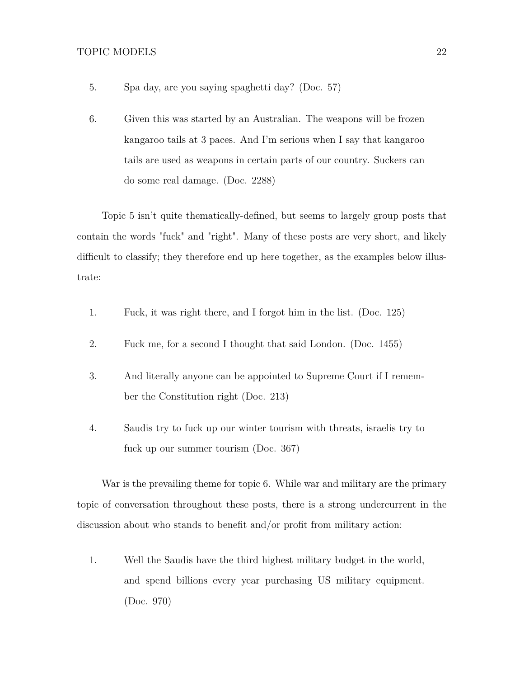- 5. Spa day, are you saying spaghetti day? (Doc. 57)
- 6. Given this was started by an Australian. The weapons will be frozen kangaroo tails at 3 paces. And I'm serious when I say that kangaroo tails are used as weapons in certain parts of our country. Suckers can do some real damage. (Doc. 2288)

Topic 5 isn't quite thematically-defined, but seems to largely group posts that contain the words "fuck" and "right". Many of these posts are very short, and likely difficult to classify; they therefore end up here together, as the examples below illustrate:

- 1. Fuck, it was right there, and I forgot him in the list. (Doc. 125)
- 2. Fuck me, for a second I thought that said London. (Doc. 1455)
- 3. And literally anyone can be appointed to Supreme Court if I remember the Constitution right (Doc. 213)
- 4. Saudis try to fuck up our winter tourism with threats, israelis try to fuck up our summer tourism (Doc. 367)

War is the prevailing theme for topic 6. While war and military are the primary topic of conversation throughout these posts, there is a strong undercurrent in the discussion about who stands to benefit and/or profit from military action:

1. Well the Saudis have the third highest military budget in the world, and spend billions every year purchasing US military equipment. (Doc. 970)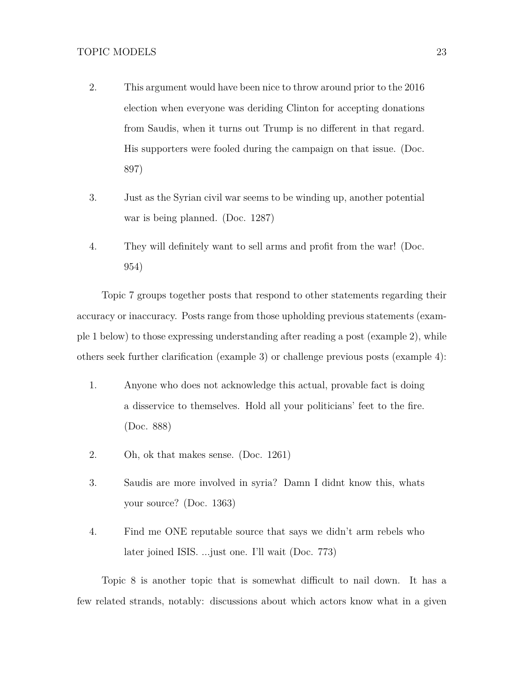- 2. This argument would have been nice to throw around prior to the 2016 election when everyone was deriding Clinton for accepting donations from Saudis, when it turns out Trump is no different in that regard. His supporters were fooled during the campaign on that issue. (Doc. 897)
- 3. Just as the Syrian civil war seems to be winding up, another potential war is being planned. (Doc. 1287)
- 4. They will definitely want to sell arms and profit from the war! (Doc. 954)

Topic 7 groups together posts that respond to other statements regarding their accuracy or inaccuracy. Posts range from those upholding previous statements (example 1 below) to those expressing understanding after reading a post (example 2), while others seek further clarification (example 3) or challenge previous posts (example 4):

- 1. Anyone who does not acknowledge this actual, provable fact is doing a disservice to themselves. Hold all your politicians' feet to the fire. (Doc. 888)
- 2. Oh, ok that makes sense. (Doc. 1261)
- 3. Saudis are more involved in syria? Damn I didnt know this, whats your source? (Doc. 1363)
- 4. Find me ONE reputable source that says we didn't arm rebels who later joined ISIS. ...just one. I'll wait (Doc. 773)

Topic 8 is another topic that is somewhat difficult to nail down. It has a few related strands, notably: discussions about which actors know what in a given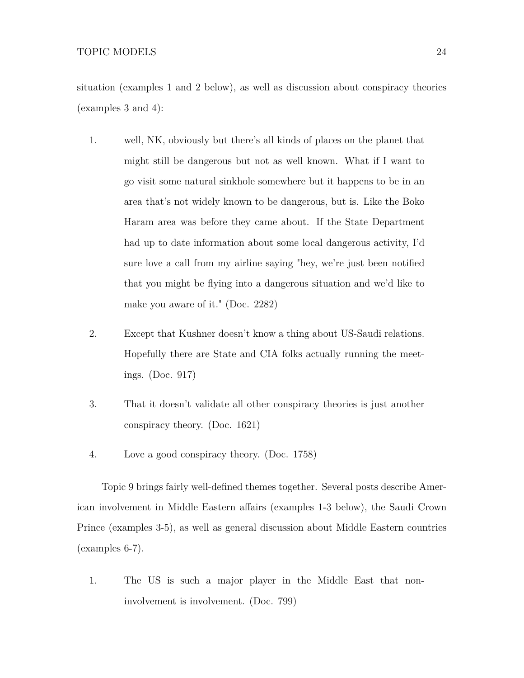situation (examples 1 and 2 below), as well as discussion about conspiracy theories (examples 3 and 4):

- 1. well, NK, obviously but there's all kinds of places on the planet that might still be dangerous but not as well known. What if I want to go visit some natural sinkhole somewhere but it happens to be in an area that's not widely known to be dangerous, but is. Like the Boko Haram area was before they came about. If the State Department had up to date information about some local dangerous activity, I'd sure love a call from my airline saying "hey, we're just been notified that you might be flying into a dangerous situation and we'd like to make you aware of it." (Doc. 2282)
- 2. Except that Kushner doesn't know a thing about US-Saudi relations. Hopefully there are State and CIA folks actually running the meetings. (Doc. 917)
- 3. That it doesn't validate all other conspiracy theories is just another conspiracy theory. (Doc. 1621)
- 4. Love a good conspiracy theory. (Doc. 1758)

Topic 9 brings fairly well-defined themes together. Several posts describe American involvement in Middle Eastern affairs (examples 1-3 below), the Saudi Crown Prince (examples 3-5), as well as general discussion about Middle Eastern countries (examples 6-7).

1. The US is such a major player in the Middle East that noninvolvement is involvement. (Doc. 799)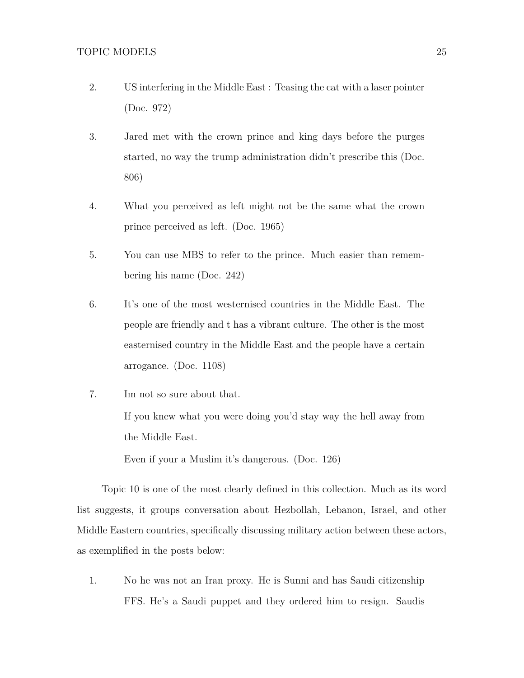- 2. US interfering in the Middle East : Teasing the cat with a laser pointer (Doc. 972)
- 3. Jared met with the crown prince and king days before the purges started, no way the trump administration didn't prescribe this (Doc. 806)
- 4. What you perceived as left might not be the same what the crown prince perceived as left. (Doc. 1965)
- 5. You can use MBS to refer to the prince. Much easier than remembering his name (Doc. 242)
- 6. It's one of the most westernised countries in the Middle East. The people are friendly and t has a vibrant culture. The other is the most easternised country in the Middle East and the people have a certain arrogance. (Doc. 1108)
- 7. Im not so sure about that. If you knew what you were doing you'd stay way the hell away from the Middle East.

Even if your a Muslim it's dangerous. (Doc. 126)

Topic 10 is one of the most clearly defined in this collection. Much as its word list suggests, it groups conversation about Hezbollah, Lebanon, Israel, and other Middle Eastern countries, specifically discussing military action between these actors, as exemplified in the posts below:

1. No he was not an Iran proxy. He is Sunni and has Saudi citizenship FFS. He's a Saudi puppet and they ordered him to resign. Saudis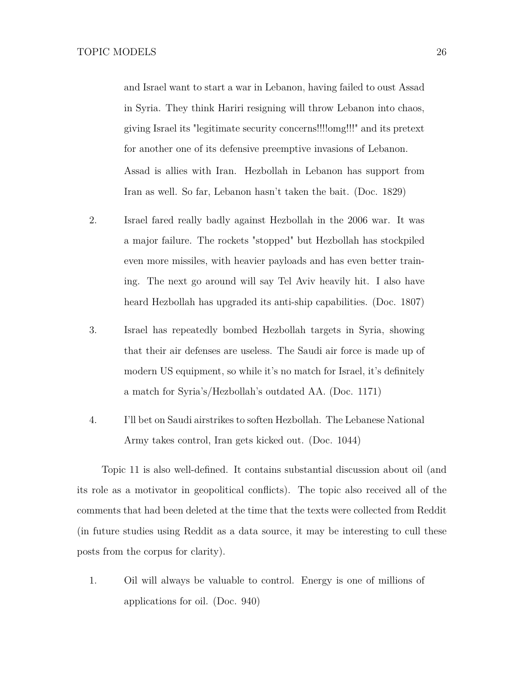and Israel want to start a war in Lebanon, having failed to oust Assad in Syria. They think Hariri resigning will throw Lebanon into chaos, giving Israel its "legitimate security concerns!!!!omg!!!" and its pretext for another one of its defensive preemptive invasions of Lebanon. Assad is allies with Iran. Hezbollah in Lebanon has support from Iran as well. So far, Lebanon hasn't taken the bait. (Doc. 1829)

- 2. Israel fared really badly against Hezbollah in the 2006 war. It was a major failure. The rockets "stopped" but Hezbollah has stockpiled even more missiles, with heavier payloads and has even better training. The next go around will say Tel Aviv heavily hit. I also have heard Hezbollah has upgraded its anti-ship capabilities. (Doc. 1807)
- 3. Israel has repeatedly bombed Hezbollah targets in Syria, showing that their air defenses are useless. The Saudi air force is made up of modern US equipment, so while it's no match for Israel, it's definitely a match for Syria's/Hezbollah's outdated AA. (Doc. 1171)
- 4. I'll bet on Saudi airstrikes to soften Hezbollah. The Lebanese National Army takes control, Iran gets kicked out. (Doc. 1044)

Topic 11 is also well-defined. It contains substantial discussion about oil (and its role as a motivator in geopolitical conflicts). The topic also received all of the comments that had been deleted at the time that the texts were collected from Reddit (in future studies using Reddit as a data source, it may be interesting to cull these posts from the corpus for clarity).

1. Oil will always be valuable to control. Energy is one of millions of applications for oil. (Doc. 940)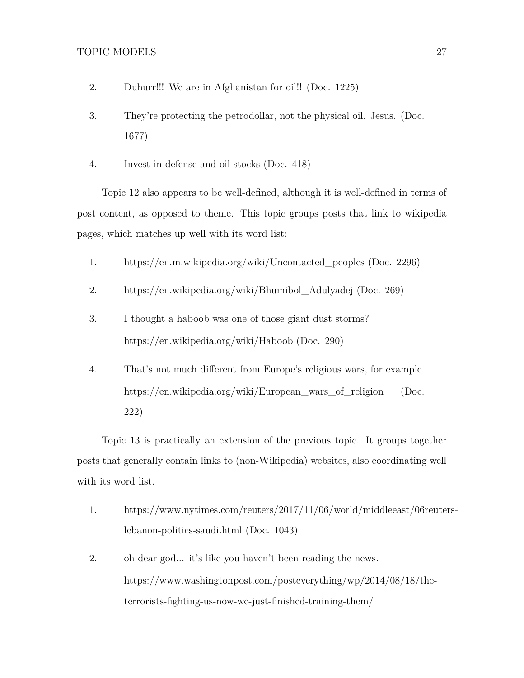- 2. Duhurr!!! We are in Afghanistan for oil!! (Doc. 1225)
- 3. They're protecting the petrodollar, not the physical oil. Jesus. (Doc. 1677)
- 4. Invest in defense and oil stocks (Doc. 418)

Topic 12 also appears to be well-defined, although it is well-defined in terms of post content, as opposed to theme. This topic groups posts that link to wikipedia pages, which matches up well with its word list:

- 1. https://en.m.wikipedia.org/wiki/Uncontacted\_peoples (Doc. 2296)
- 2. https://en.wikipedia.org/wiki/Bhumibol\_Adulyadej (Doc. 269)
- 3. I thought a haboob was one of those giant dust storms? https://en.wikipedia.org/wiki/Haboob (Doc. 290)
- 4. That's not much different from Europe's religious wars, for example. https://en.wikipedia.org/wiki/European\_wars\_of\_religion (Doc. 222)

Topic 13 is practically an extension of the previous topic. It groups together posts that generally contain links to (non-Wikipedia) websites, also coordinating well with its word list.

- 1. https://www.nytimes.com/reuters/2017/11/06/world/middleeast/06reuterslebanon-politics-saudi.html (Doc. 1043)
- 2. oh dear god... it's like you haven't been reading the news. https://www.washingtonpost.com/posteverything/wp/2014/08/18/theterrorists-fighting-us-now-we-just-finished-training-them/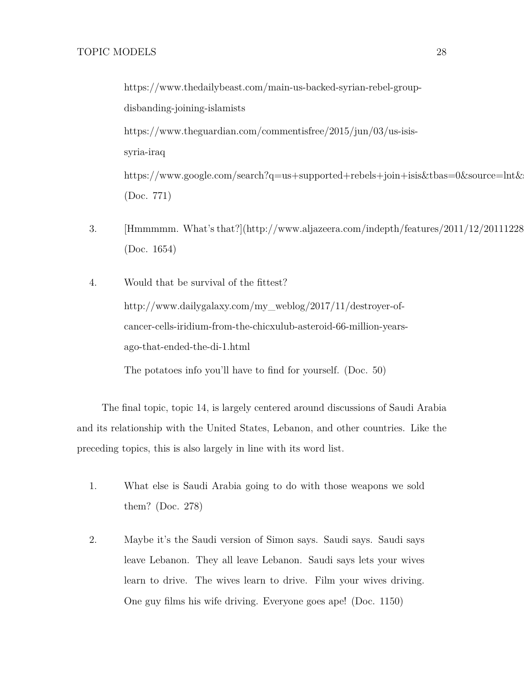https://www.thedailybeast.com/main-us-backed-syrian-rebel-groupdisbanding-joining-islamists https://www.theguardian.com/commentisfree/2015/jun/03/us-isissyria-iraq https://www.google.com/search?q=us+supported+rebels+join+isis&tbas=0&source=lnt& (Doc. 771)

- 3. [Hmmmmm. What's that?](http://www.aljazeera.com/indepth/features/2011/12/20111228 (Doc. 1654)
- 4. Would that be survival of the fittest? http://www.dailygalaxy.com/my\_weblog/2017/11/destroyer-ofcancer-cells-iridium-from-the-chicxulub-asteroid-66-million-yearsago-that-ended-the-di-1.html

The potatoes info you'll have to find for yourself. (Doc. 50)

The final topic, topic 14, is largely centered around discussions of Saudi Arabia and its relationship with the United States, Lebanon, and other countries. Like the preceding topics, this is also largely in line with its word list.

- 1. What else is Saudi Arabia going to do with those weapons we sold them? (Doc. 278)
- 2. Maybe it's the Saudi version of Simon says. Saudi says. Saudi says leave Lebanon. They all leave Lebanon. Saudi says lets your wives learn to drive. The wives learn to drive. Film your wives driving. One guy films his wife driving. Everyone goes ape! (Doc. 1150)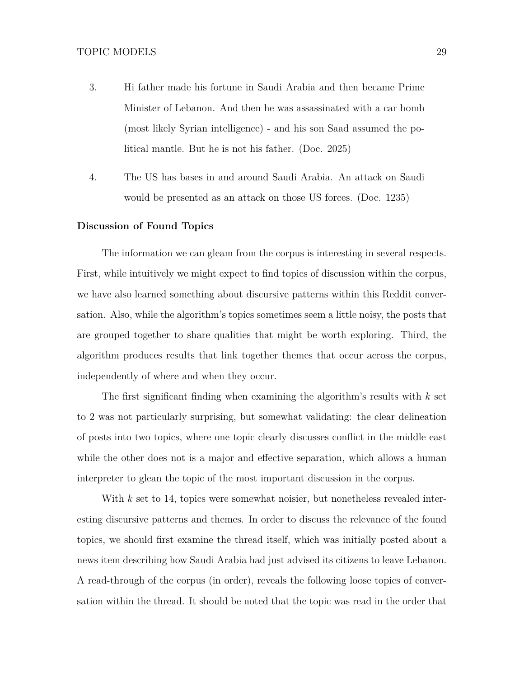- 3. Hi father made his fortune in Saudi Arabia and then became Prime Minister of Lebanon. And then he was assassinated with a car bomb (most likely Syrian intelligence) - and his son Saad assumed the political mantle. But he is not his father. (Doc. 2025)
- 4. The US has bases in and around Saudi Arabia. An attack on Saudi would be presented as an attack on those US forces. (Doc. 1235)

#### **Discussion of Found Topics**

The information we can gleam from the corpus is interesting in several respects. First, while intuitively we might expect to find topics of discussion within the corpus, we have also learned something about discursive patterns within this Reddit conversation. Also, while the algorithm's topics sometimes seem a little noisy, the posts that are grouped together to share qualities that might be worth exploring. Third, the algorithm produces results that link together themes that occur across the corpus, independently of where and when they occur.

The first significant finding when examining the algorithm's results with *k* set to 2 was not particularly surprising, but somewhat validating: the clear delineation of posts into two topics, where one topic clearly discusses conflict in the middle east while the other does not is a major and effective separation, which allows a human interpreter to glean the topic of the most important discussion in the corpus.

With *k* set to 14, topics were somewhat noisier, but nonetheless revealed interesting discursive patterns and themes. In order to discuss the relevance of the found topics, we should first examine the thread itself, which was initially posted about a news item describing how Saudi Arabia had just advised its citizens to leave Lebanon. A read-through of the corpus (in order), reveals the following loose topics of conversation within the thread. It should be noted that the topic was read in the order that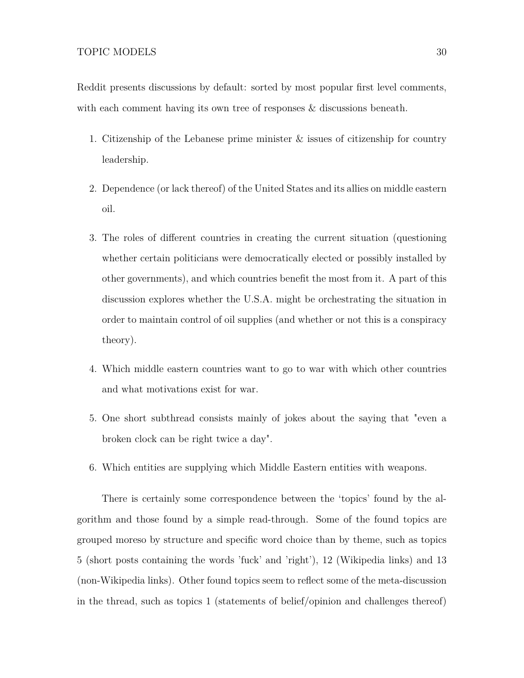Reddit presents discussions by default: sorted by most popular first level comments, with each comment having its own tree of responses  $\&$  discussions beneath.

- 1. Citizenship of the Lebanese prime minister & issues of citizenship for country leadership.
- 2. Dependence (or lack thereof) of the United States and its allies on middle eastern oil.
- 3. The roles of different countries in creating the current situation (questioning whether certain politicians were democratically elected or possibly installed by other governments), and which countries benefit the most from it. A part of this discussion explores whether the U.S.A. might be orchestrating the situation in order to maintain control of oil supplies (and whether or not this is a conspiracy theory).
- 4. Which middle eastern countries want to go to war with which other countries and what motivations exist for war.
- 5. One short subthread consists mainly of jokes about the saying that "even a broken clock can be right twice a day".
- 6. Which entities are supplying which Middle Eastern entities with weapons.

There is certainly some correspondence between the 'topics' found by the algorithm and those found by a simple read-through. Some of the found topics are grouped moreso by structure and specific word choice than by theme, such as topics 5 (short posts containing the words 'fuck' and 'right'), 12 (Wikipedia links) and 13 (non-Wikipedia links). Other found topics seem to reflect some of the meta-discussion in the thread, such as topics 1 (statements of belief/opinion and challenges thereof)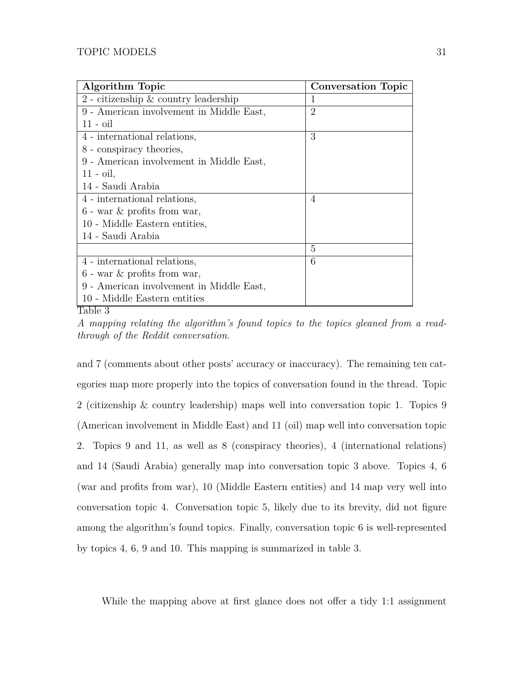<span id="page-30-0"></span>

| <b>Algorithm Topic</b>                    | <b>Conversation Topic</b> |
|-------------------------------------------|---------------------------|
| $2$ - citizenship $\&$ country leadership |                           |
| 9 - American involvement in Middle East,  | $\overline{2}$            |
| $11 - oil$                                |                           |
| 4 - international relations,              | 3                         |
| 8 - conspiracy theories,                  |                           |
| 9 - American involvement in Middle East,  |                           |
| $11 - \text{oil},$                        |                           |
| 14 - Saudi Arabia                         |                           |
| 4 - international relations,              | $\overline{4}$            |
| $6$ - war $\&$ profits from war,          |                           |
| 10 - Middle Eastern entities,             |                           |
| 14 - Saudi Arabia                         |                           |
|                                           | 5                         |
| 4 - international relations,              | 6                         |
| $6$ - war $\&$ profits from war,          |                           |
| 9 - American involvement in Middle East,  |                           |
| 10 - Middle Eastern entities              |                           |

Table 3

*A mapping relating the algorithm's found topics to the topics gleaned from a readthrough of the Reddit conversation.*

and 7 (comments about other posts' accuracy or inaccuracy). The remaining ten categories map more properly into the topics of conversation found in the thread. Topic 2 (citizenship & country leadership) maps well into conversation topic 1. Topics 9 (American involvement in Middle East) and 11 (oil) map well into conversation topic 2. Topics 9 and 11, as well as 8 (conspiracy theories), 4 (international relations) and 14 (Saudi Arabia) generally map into conversation topic 3 above. Topics 4, 6 (war and profits from war), 10 (Middle Eastern entities) and 14 map very well into conversation topic 4. Conversation topic 5, likely due to its brevity, did not figure among the algorithm's found topics. Finally, conversation topic 6 is well-represented by topics 4, 6, 9 and 10. This mapping is summarized in table [3.](#page-30-0)

While the mapping above at first glance does not offer a tidy 1:1 assignment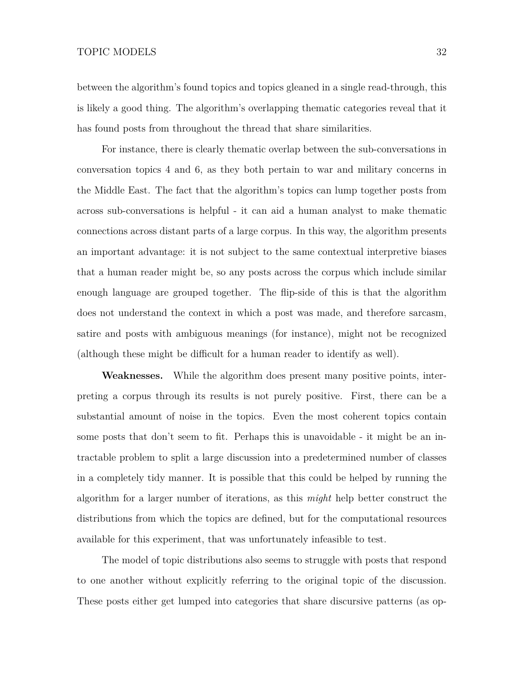between the algorithm's found topics and topics gleaned in a single read-through, this is likely a good thing. The algorithm's overlapping thematic categories reveal that it has found posts from throughout the thread that share similarities.

For instance, there is clearly thematic overlap between the sub-conversations in conversation topics 4 and 6, as they both pertain to war and military concerns in the Middle East. The fact that the algorithm's topics can lump together posts from across sub-conversations is helpful - it can aid a human analyst to make thematic connections across distant parts of a large corpus. In this way, the algorithm presents an important advantage: it is not subject to the same contextual interpretive biases that a human reader might be, so any posts across the corpus which include similar enough language are grouped together. The flip-side of this is that the algorithm does not understand the context in which a post was made, and therefore sarcasm, satire and posts with ambiguous meanings (for instance), might not be recognized (although these might be difficult for a human reader to identify as well).

**Weaknesses.** While the algorithm does present many positive points, interpreting a corpus through its results is not purely positive. First, there can be a substantial amount of noise in the topics. Even the most coherent topics contain some posts that don't seem to fit. Perhaps this is unavoidable - it might be an intractable problem to split a large discussion into a predetermined number of classes in a completely tidy manner. It is possible that this could be helped by running the algorithm for a larger number of iterations, as this *might* help better construct the distributions from which the topics are defined, but for the computational resources available for this experiment, that was unfortunately infeasible to test.

The model of topic distributions also seems to struggle with posts that respond to one another without explicitly referring to the original topic of the discussion. These posts either get lumped into categories that share discursive patterns (as op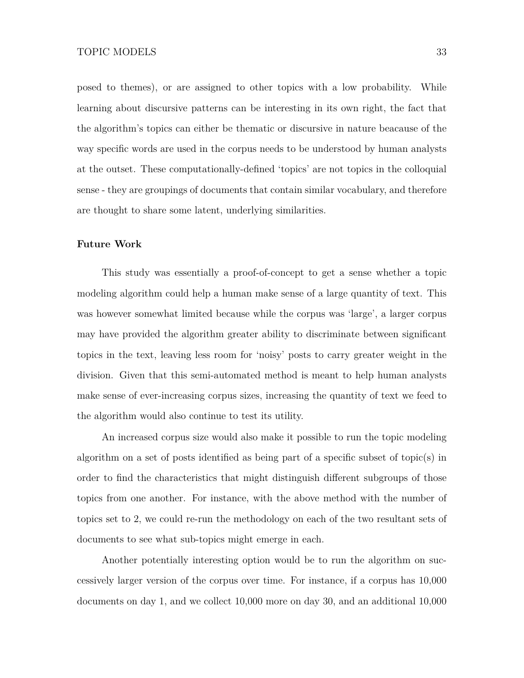posed to themes), or are assigned to other topics with a low probability. While learning about discursive patterns can be interesting in its own right, the fact that the algorithm's topics can either be thematic or discursive in nature beacause of the way specific words are used in the corpus needs to be understood by human analysts at the outset. These computationally-defined 'topics' are not topics in the colloquial sense - they are groupings of documents that contain similar vocabulary, and therefore are thought to share some latent, underlying similarities.

#### **Future Work**

This study was essentially a proof-of-concept to get a sense whether a topic modeling algorithm could help a human make sense of a large quantity of text. This was however somewhat limited because while the corpus was 'large', a larger corpus may have provided the algorithm greater ability to discriminate between significant topics in the text, leaving less room for 'noisy' posts to carry greater weight in the division. Given that this semi-automated method is meant to help human analysts make sense of ever-increasing corpus sizes, increasing the quantity of text we feed to the algorithm would also continue to test its utility.

An increased corpus size would also make it possible to run the topic modeling algorithm on a set of posts identified as being part of a specific subset of topic(s) in order to find the characteristics that might distinguish different subgroups of those topics from one another. For instance, with the above method with the number of topics set to 2, we could re-run the methodology on each of the two resultant sets of documents to see what sub-topics might emerge in each.

Another potentially interesting option would be to run the algorithm on successively larger version of the corpus over time. For instance, if a corpus has 10,000 documents on day 1, and we collect 10,000 more on day 30, and an additional 10,000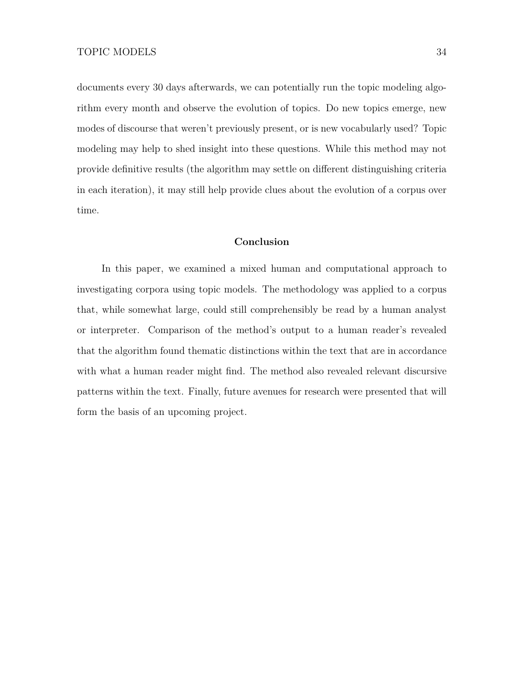documents every 30 days afterwards, we can potentially run the topic modeling algorithm every month and observe the evolution of topics. Do new topics emerge, new modes of discourse that weren't previously present, or is new vocabularly used? Topic modeling may help to shed insight into these questions. While this method may not provide definitive results (the algorithm may settle on different distinguishing criteria in each iteration), it may still help provide clues about the evolution of a corpus over time.

## **Conclusion**

In this paper, we examined a mixed human and computational approach to investigating corpora using topic models. The methodology was applied to a corpus that, while somewhat large, could still comprehensibly be read by a human analyst or interpreter. Comparison of the method's output to a human reader's revealed that the algorithm found thematic distinctions within the text that are in accordance with what a human reader might find. The method also revealed relevant discursive patterns within the text. Finally, future avenues for research were presented that will form the basis of an upcoming project.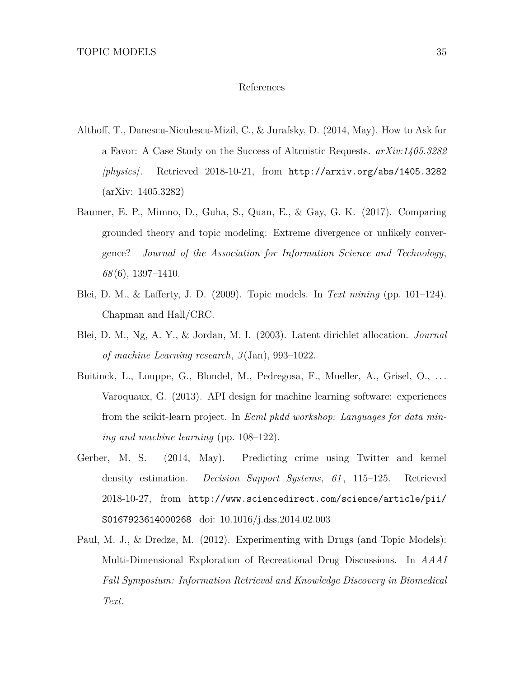#### References

- <span id="page-34-5"></span>Althoff, T., Danescu-Niculescu-Mizil, C., & Jurafsky, D. (2014, May). How to Ask for a Favor: A Case Study on the Success of Altruistic Requests. *arXiv:1405.3282 [physics]*. Retrieved 2018-10-21, from <http://arxiv.org/abs/1405.3282> (arXiv: 1405.3282)
- <span id="page-34-6"></span>Baumer, E. P., Mimno, D., Guha, S., Quan, E., & Gay, G. K. (2017). Comparing grounded theory and topic modeling: Extreme divergence or unlikely convergence? *Journal of the Association for Information Science and Technology*, *68* (6), 1397–1410.
- <span id="page-34-0"></span>Blei, D. M., & Lafferty, J. D. (2009). Topic models. In *Text mining* (pp. 101–124). Chapman and Hall/CRC.
- <span id="page-34-1"></span>Blei, D. M., Ng, A. Y., & Jordan, M. I. (2003). Latent dirichlet allocation. *Journal of machine Learning research*, *3* (Jan), 993–1022.
- <span id="page-34-4"></span>Buitinck, L., Louppe, G., Blondel, M., Pedregosa, F., Mueller, A., Grisel, O., ... Varoquaux, G. (2013). API design for machine learning software: experiences from the scikit-learn project. In *Ecml pkdd workshop: Languages for data mining and machine learning* (pp. 108–122).
- <span id="page-34-3"></span>Gerber, M. S. (2014, May). Predicting crime using Twitter and kernel density estimation. *Decision Support Systems*, *61* , 115–125. Retrieved 2018-10-27, from [http://www.sciencedirect.com/science/article/pii/](http://www.sciencedirect.com/science/article/pii/S0167923614000268) [S0167923614000268](http://www.sciencedirect.com/science/article/pii/S0167923614000268) doi: 10.1016/j.dss.2014.02.003
- <span id="page-34-2"></span>Paul, M. J., & Dredze, M. (2012). Experimenting with Drugs (and Topic Models): Multi-Dimensional Exploration of Recreational Drug Discussions. In *AAAI Fall Symposium: Information Retrieval and Knowledge Discovery in Biomedical Text.*